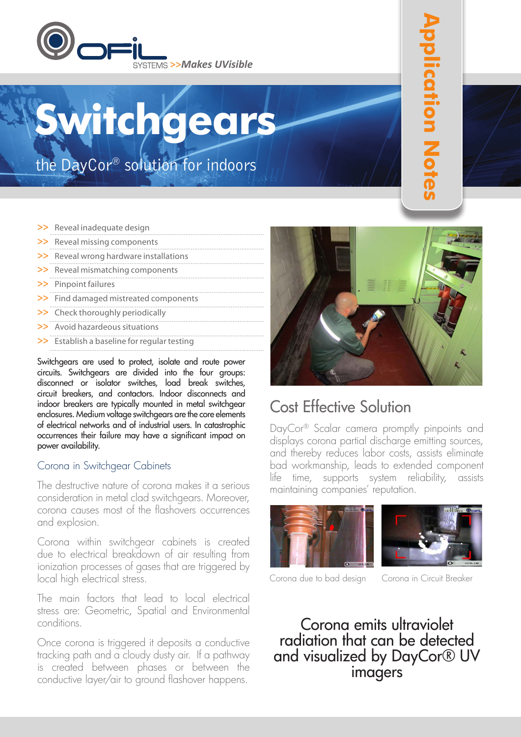



the DayCor® solution for indoors

- >> Reveal inadequate design
- >> Reveal missing components
- >> Reveal wrong hardware installations
- Reveal mismatching components
- >> Pinpoint failures
- >> Find damaged mistreated components
- >> Check thoroughly periodically
- >> Avoid hazardeous situations
- >> Establish a baseline for regular testing

Switchgears are used to protect, isolate and route power circuits. Switchgears are divided into the four groups: disconnect or isolator switches, load break switches, circuit breakers, and contactors. Indoor disconnects and indoor breakers are typically mounted in metal switchgear enclosures. Medium voltage switchgears are the core elements of electrical networks and of industrial users. In catastrophic occurrences their failure may have a significant impact on power availability.

### Corona in Switchgear Cabinets

The destructive nature of corona makes it a serious consideration in metal clad switchgears. Moreover, corona causes most of the flashovers occurrences and explosion.

Corona within switchgear cabinets is created due to electrical breakdown of air resulting from ionization processes of gases that are triggered by local high electrical stress.

The main factors that lead to local electrical stress are: Geometric, Spatial and Environmental conditions.

Once corona is triggered it deposits a conductive tracking path and a cloudy dusty air. If a pathway is created between phases or between the conductive layer/air to ground flashover happens.



## Cost Effective Solution

DayCor® Scalar camera promptly pinpoints and displays corona partial discharge emitting sources, and thereby reduces labor costs, assists eliminate bad workmanship, leads to extended component life time, supports system reliability, assists maintaining companies' reputation.





Corona due to bad design

Corona in Circuit Breaker

Corona emits ultraviolet radiation that can be detected and visualized by DayCor® UV imagers

# **Application Notes** polication<br>Note